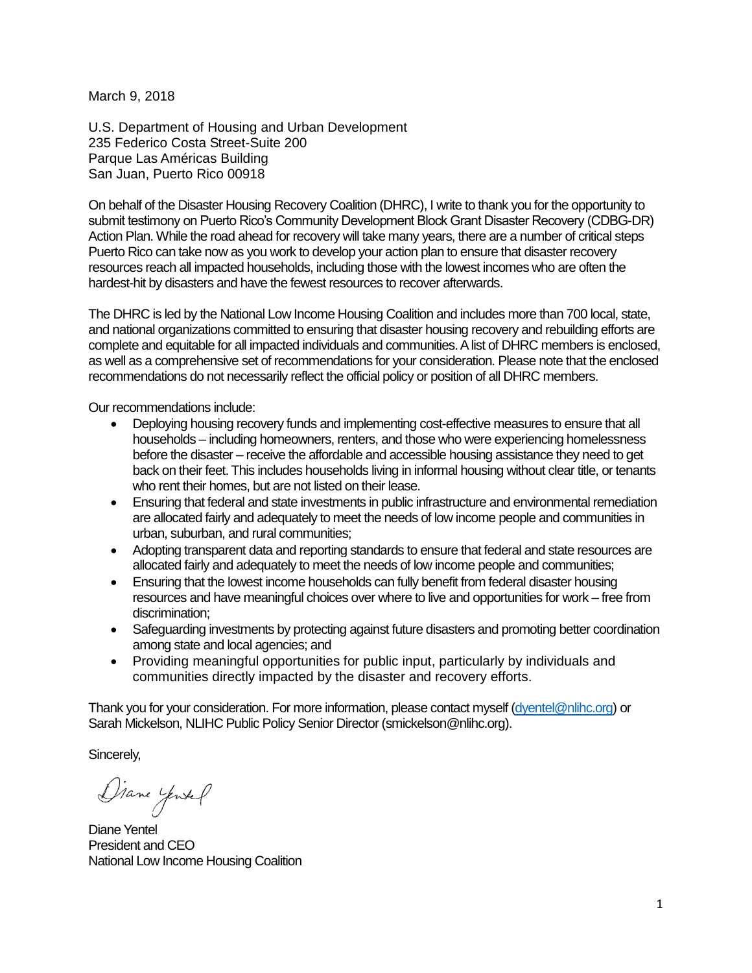March 9, 2018

U.S. Department of Housing and Urban Development 235 Federico Costa Street-Suite 200 Parque Las Américas Building San Juan, Puerto Rico 00918

On behalf of the Disaster Housing Recovery Coalition (DHRC), I write to thank you for the opportunity to submit testimony on Puerto Rico's Community Development Block Grant Disaster Recovery (CDBG-DR) Action Plan. While the road ahead for recovery will take many years, there are a number of critical steps Puerto Rico can take now as you work to develop your action plan to ensure that disaster recovery resources reach all impacted households, including those with the lowest incomes who are often the hardest-hit by disasters and have the fewest resources to recover afterwards.

The DHRC is led by the National Low Income Housing Coalition and includes more than 700 local, state, and national organizations committed to ensuring that disaster housing recovery and rebuilding efforts are complete and equitable for all impacted individuals and communities. A list of DHRC members is enclosed, as well as a comprehensive set of recommendations for your consideration. Please note that the enclosed recommendations do not necessarily reflect the official policy or position of all DHRC members.

Our recommendations include:

- Deploying housing recovery funds and implementing cost-effective measures to ensure that all households – including homeowners, renters, and those who were experiencing homelessness before the disaster – receive the affordable and accessible housing assistance they need to get back on their feet. This includes households living in informal housing without clear title, or tenants who rent their homes, but are not listed on their lease.
- Ensuring that federal and state investments in public infrastructure and environmental remediation are allocated fairly and adequately to meet the needs of low income people and communities in urban, suburban, and rural communities;
- Adopting transparent data and reporting standards to ensure that federal and state resources are allocated fairly and adequately to meet the needs of low income people and communities;
- Ensuring that the lowest income households can fully benefit from federal disaster housing resources and have meaningful choices over where to live and opportunities for work – free from discrimination;
- Safeguarding investments by protecting against future disasters and promoting better coordination among state and local agencies; and
- Providing meaningful opportunities for public input, particularly by individuals and communities directly impacted by the disaster and recovery efforts.

Thank you for your consideration. For more information, please contact myself [\(dyentel@nlihc.org\)](mailto:dyentel@nlihc.org) or Sarah Mickelson, NLIHC Public Policy Senior Director (smickelson@nlihc.org).

Sincerely,

Diane yentel

Diane Yentel President and CEO National Low Income Housing Coalition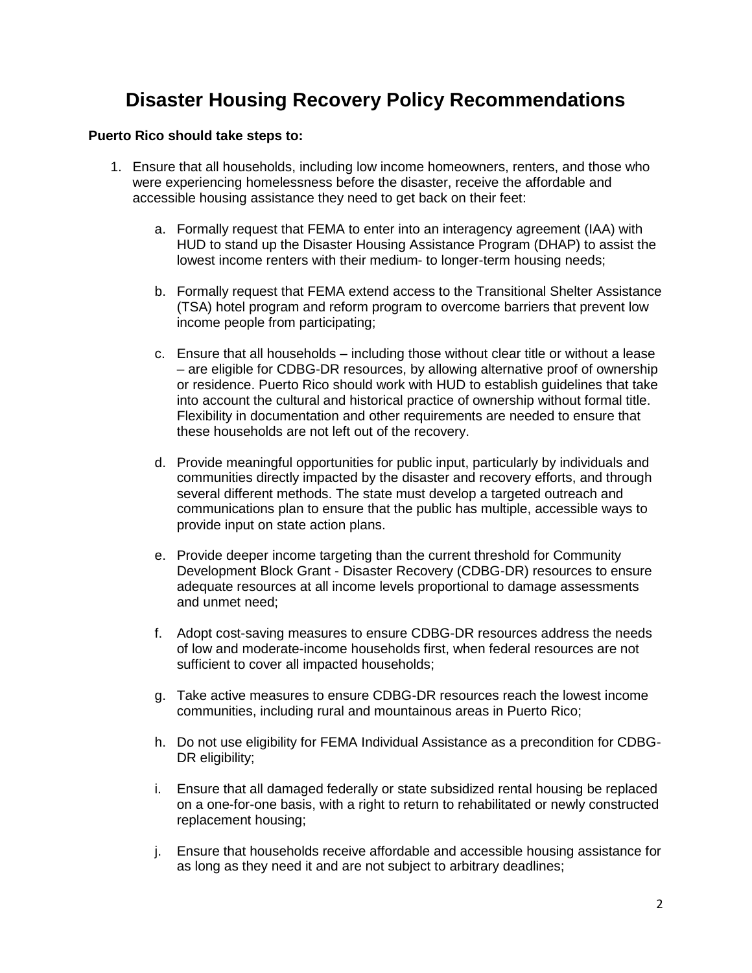## **Disaster Housing Recovery Policy Recommendations**

#### **Puerto Rico should take steps to:**

- 1. Ensure that all households, including low income homeowners, renters, and those who were experiencing homelessness before the disaster, receive the affordable and accessible housing assistance they need to get back on their feet:
	- a. Formally request that FEMA to enter into an interagency agreement (IAA) with HUD to stand up the Disaster Housing Assistance Program (DHAP) to assist the lowest income renters with their medium- to longer-term housing needs;
	- b. Formally request that FEMA extend access to the Transitional Shelter Assistance (TSA) hotel program and reform program to overcome barriers that prevent low income people from participating;
	- c. Ensure that all households including those without clear title or without a lease – are eligible for CDBG-DR resources, by allowing alternative proof of ownership or residence. Puerto Rico should work with HUD to establish guidelines that take into account the cultural and historical practice of ownership without formal title. Flexibility in documentation and other requirements are needed to ensure that these households are not left out of the recovery.
	- d. Provide meaningful opportunities for public input, particularly by individuals and communities directly impacted by the disaster and recovery efforts, and through several different methods. The state must develop a targeted outreach and communications plan to ensure that the public has multiple, accessible ways to provide input on state action plans.
	- e. Provide deeper income targeting than the current threshold for Community Development Block Grant - Disaster Recovery (CDBG-DR) resources to ensure adequate resources at all income levels proportional to damage assessments and unmet need;
	- f. Adopt cost-saving measures to ensure CDBG-DR resources address the needs of low and moderate-income households first, when federal resources are not sufficient to cover all impacted households;
	- g. Take active measures to ensure CDBG-DR resources reach the lowest income communities, including rural and mountainous areas in Puerto Rico;
	- h. Do not use eligibility for FEMA Individual Assistance as a precondition for CDBG-DR eligibility;
	- i. Ensure that all damaged federally or state subsidized rental housing be replaced on a one-for-one basis, with a right to return to rehabilitated or newly constructed replacement housing;
	- j. Ensure that households receive affordable and accessible housing assistance for as long as they need it and are not subject to arbitrary deadlines;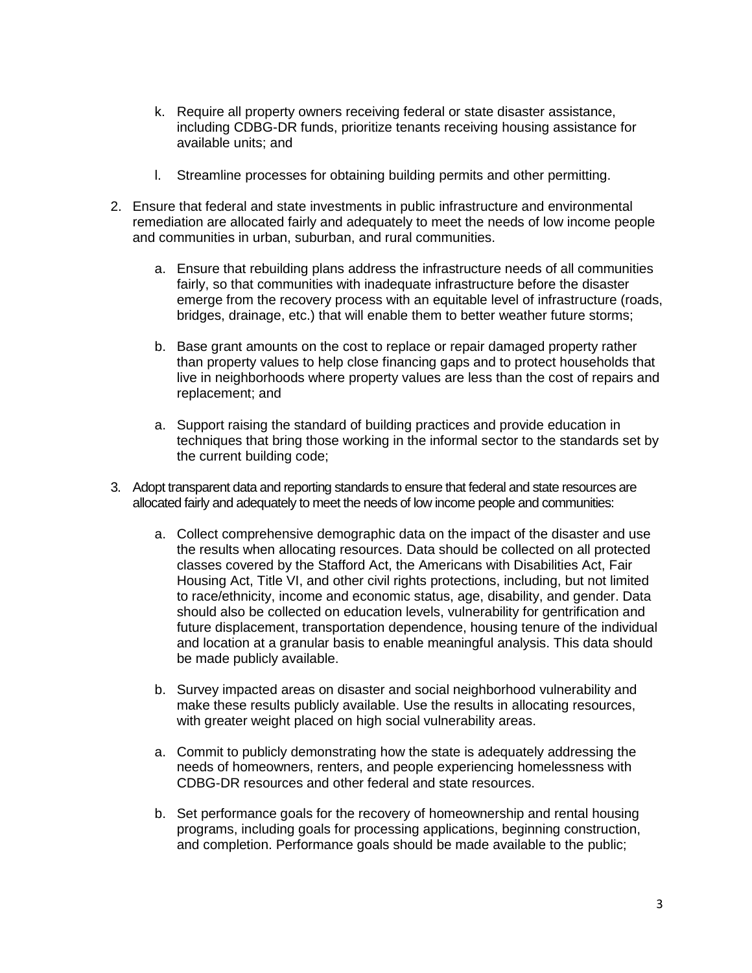- k. Require all property owners receiving federal or state disaster assistance, including CDBG-DR funds, prioritize tenants receiving housing assistance for available units; and
- l. Streamline processes for obtaining building permits and other permitting.
- 2. Ensure that federal and state investments in public infrastructure and environmental remediation are allocated fairly and adequately to meet the needs of low income people and communities in urban, suburban, and rural communities.
	- a. Ensure that rebuilding plans address the infrastructure needs of all communities fairly, so that communities with inadequate infrastructure before the disaster emerge from the recovery process with an equitable level of infrastructure (roads, bridges, drainage, etc.) that will enable them to better weather future storms;
	- b. Base grant amounts on the cost to replace or repair damaged property rather than property values to help close financing gaps and to protect households that live in neighborhoods where property values are less than the cost of repairs and replacement; and
	- a. Support raising the standard of building practices and provide education in techniques that bring those working in the informal sector to the standards set by the current building code;
- 3. Adopt transparent data and reporting standards to ensure that federal and state resources are allocated fairly and adequately to meet the needs of low income people and communities:
	- a. Collect comprehensive demographic data on the impact of the disaster and use the results when allocating resources. Data should be collected on all protected classes covered by the Stafford Act, the Americans with Disabilities Act, Fair Housing Act, Title VI, and other civil rights protections, including, but not limited to race/ethnicity, income and economic status, age, disability, and gender. Data should also be collected on education levels, vulnerability for gentrification and future displacement, transportation dependence, housing tenure of the individual and location at a granular basis to enable meaningful analysis. This data should be made publicly available.
	- b. Survey impacted areas on disaster and social neighborhood vulnerability and make these results publicly available. Use the results in allocating resources, with greater weight placed on high social vulnerability areas.
	- a. Commit to publicly demonstrating how the state is adequately addressing the needs of homeowners, renters, and people experiencing homelessness with CDBG-DR resources and other federal and state resources.
	- b. Set performance goals for the recovery of homeownership and rental housing programs, including goals for processing applications, beginning construction, and completion. Performance goals should be made available to the public;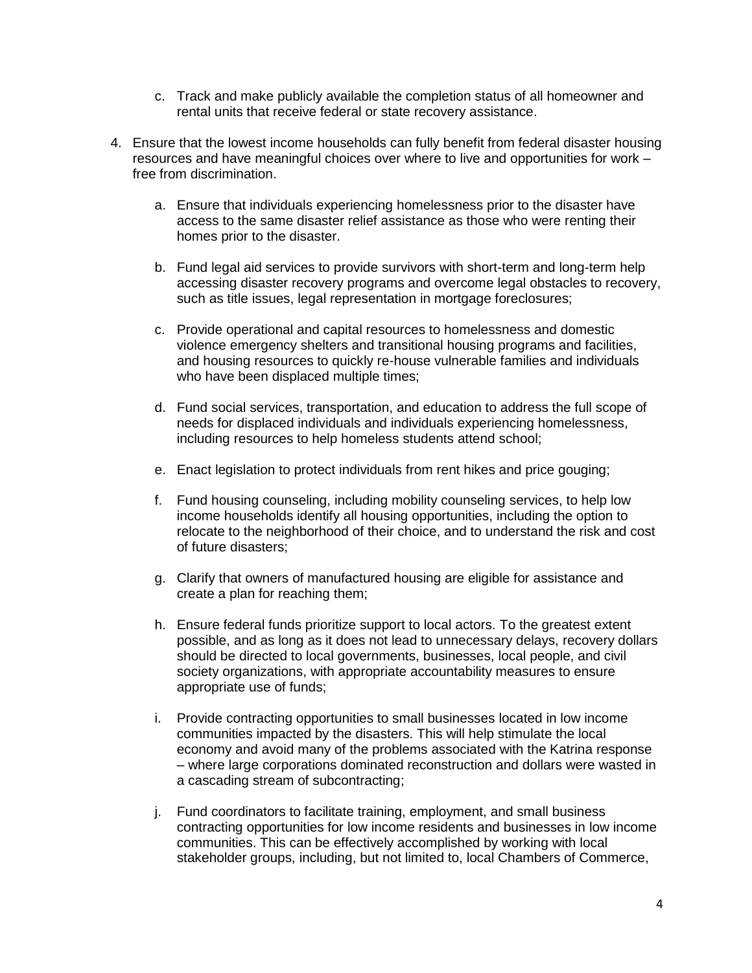- c. Track and make publicly available the completion status of all homeowner and rental units that receive federal or state recovery assistance.
- 4. Ensure that the lowest income households can fully benefit from federal disaster housing resources and have meaningful choices over where to live and opportunities for work – free from discrimination.
	- a. Ensure that individuals experiencing homelessness prior to the disaster have access to the same disaster relief assistance as those who were renting their homes prior to the disaster.
	- b. Fund legal aid services to provide survivors with short-term and long-term help accessing disaster recovery programs and overcome legal obstacles to recovery, such as title issues, legal representation in mortgage foreclosures;
	- c. Provide operational and capital resources to homelessness and domestic violence emergency shelters and transitional housing programs and facilities, and housing resources to quickly re-house vulnerable families and individuals who have been displaced multiple times;
	- d. Fund social services, transportation, and education to address the full scope of needs for displaced individuals and individuals experiencing homelessness, including resources to help homeless students attend school;
	- e. Enact legislation to protect individuals from rent hikes and price gouging;
	- f. Fund housing counseling, including mobility counseling services, to help low income households identify all housing opportunities, including the option to relocate to the neighborhood of their choice, and to understand the risk and cost of future disasters;
	- g. Clarify that owners of manufactured housing are eligible for assistance and create a plan for reaching them;
	- h. Ensure federal funds prioritize support to local actors. To the greatest extent possible, and as long as it does not lead to unnecessary delays, recovery dollars should be directed to local governments, businesses, local people, and civil society organizations, with appropriate accountability measures to ensure appropriate use of funds;
	- i. Provide contracting opportunities to small businesses located in low income communities impacted by the disasters. This will help stimulate the local economy and avoid many of the problems associated with the Katrina response – where large corporations dominated reconstruction and dollars were wasted in a cascading stream of subcontracting;
	- j. Fund coordinators to facilitate training, employment, and small business contracting opportunities for low income residents and businesses in low income communities. This can be effectively accomplished by working with local stakeholder groups, including, but not limited to, local Chambers of Commerce,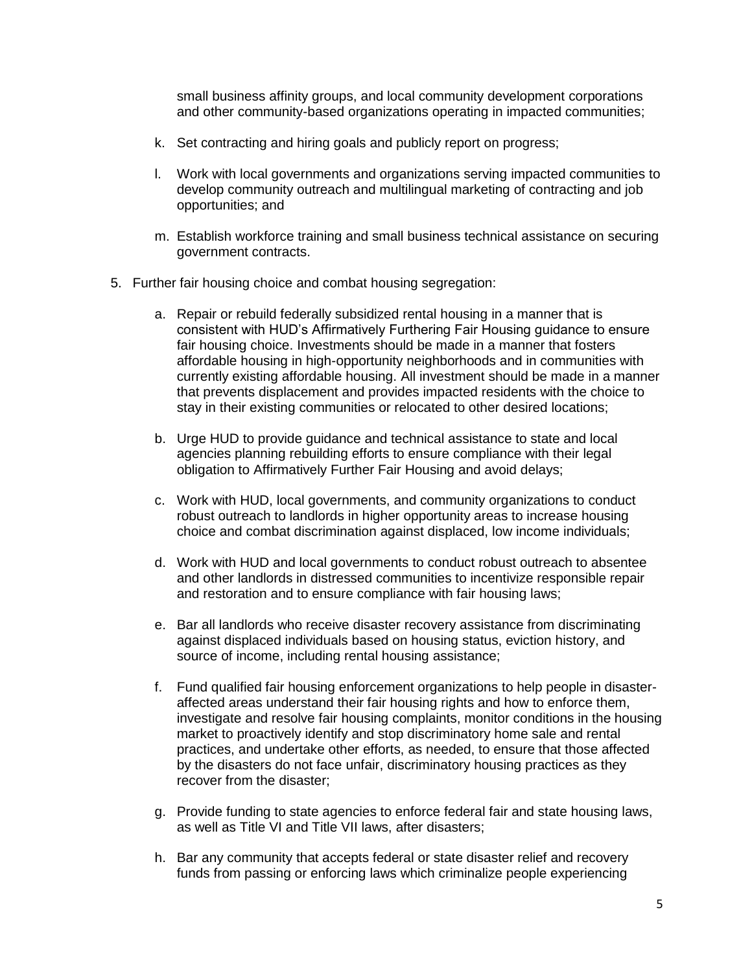small business affinity groups, and local community development corporations and other community-based organizations operating in impacted communities;

- k. Set contracting and hiring goals and publicly report on progress;
- l. Work with local governments and organizations serving impacted communities to develop community outreach and multilingual marketing of contracting and job opportunities; and
- m. Establish workforce training and small business technical assistance on securing government contracts.
- 5. Further fair housing choice and combat housing segregation:
	- a. Repair or rebuild federally subsidized rental housing in a manner that is consistent with HUD's Affirmatively Furthering Fair Housing guidance to ensure fair housing choice. Investments should be made in a manner that fosters affordable housing in high-opportunity neighborhoods and in communities with currently existing affordable housing. All investment should be made in a manner that prevents displacement and provides impacted residents with the choice to stay in their existing communities or relocated to other desired locations;
	- b. Urge HUD to provide guidance and technical assistance to state and local agencies planning rebuilding efforts to ensure compliance with their legal obligation to Affirmatively Further Fair Housing and avoid delays;
	- c. Work with HUD, local governments, and community organizations to conduct robust outreach to landlords in higher opportunity areas to increase housing choice and combat discrimination against displaced, low income individuals;
	- d. Work with HUD and local governments to conduct robust outreach to absentee and other landlords in distressed communities to incentivize responsible repair and restoration and to ensure compliance with fair housing laws;
	- e. Bar all landlords who receive disaster recovery assistance from discriminating against displaced individuals based on housing status, eviction history, and source of income, including rental housing assistance;
	- f. Fund qualified fair housing enforcement organizations to help people in disasteraffected areas understand their fair housing rights and how to enforce them, investigate and resolve fair housing complaints, monitor conditions in the housing market to proactively identify and stop discriminatory home sale and rental practices, and undertake other efforts, as needed, to ensure that those affected by the disasters do not face unfair, discriminatory housing practices as they recover from the disaster;
	- g. Provide funding to state agencies to enforce federal fair and state housing laws, as well as Title VI and Title VII laws, after disasters;
	- h. Bar any community that accepts federal or state disaster relief and recovery funds from passing or enforcing laws which criminalize people experiencing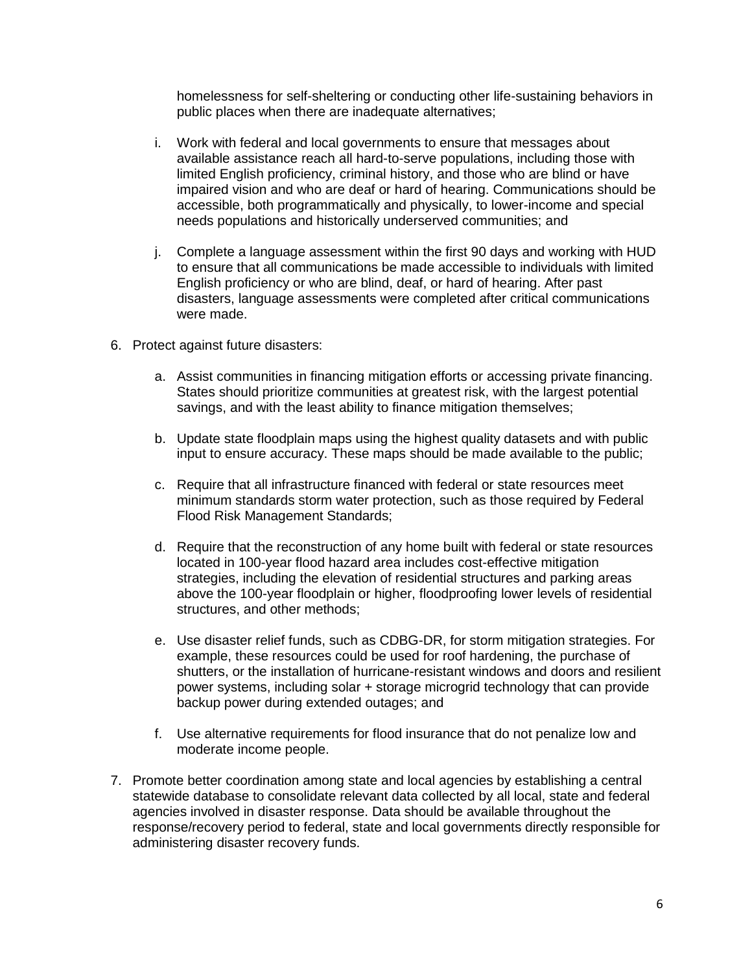homelessness for self-sheltering or conducting other life-sustaining behaviors in public places when there are inadequate alternatives;

- i. Work with federal and local governments to ensure that messages about available assistance reach all hard-to-serve populations, including those with limited English proficiency, criminal history, and those who are blind or have impaired vision and who are deaf or hard of hearing. Communications should be accessible, both programmatically and physically, to lower-income and special needs populations and historically underserved communities; and
- j. Complete a language assessment within the first 90 days and working with HUD to ensure that all communications be made accessible to individuals with limited English proficiency or who are blind, deaf, or hard of hearing. After past disasters, language assessments were completed after critical communications were made.
- 6. Protect against future disasters:
	- a. Assist communities in financing mitigation efforts or accessing private financing. States should prioritize communities at greatest risk, with the largest potential savings, and with the least ability to finance mitigation themselves;
	- b. Update state floodplain maps using the highest quality datasets and with public input to ensure accuracy. These maps should be made available to the public;
	- c. Require that all infrastructure financed with federal or state resources meet minimum standards storm water protection, such as those required by Federal Flood Risk Management Standards;
	- d. Require that the reconstruction of any home built with federal or state resources located in 100-year flood hazard area includes cost-effective mitigation strategies, including the elevation of residential structures and parking areas above the 100-year floodplain or higher, floodproofing lower levels of residential structures, and other methods;
	- e. Use disaster relief funds, such as CDBG-DR, for storm mitigation strategies. For example, these resources could be used for roof hardening, the purchase of shutters, or the installation of hurricane-resistant windows and doors and resilient power systems, including solar + storage microgrid technology that can provide backup power during extended outages; and
	- f. Use alternative requirements for flood insurance that do not penalize low and moderate income people.
- 7. Promote better coordination among state and local agencies by establishing a central statewide database to consolidate relevant data collected by all local, state and federal agencies involved in disaster response. Data should be available throughout the response/recovery period to federal, state and local governments directly responsible for administering disaster recovery funds.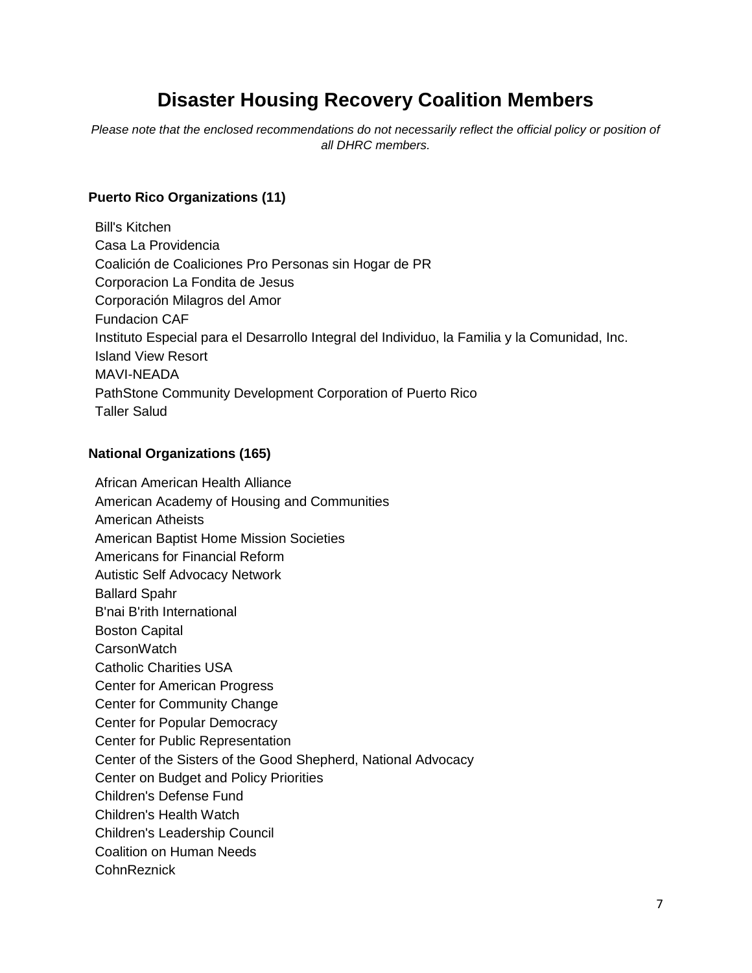# **Disaster Housing Recovery Coalition Members**

*Please note that the enclosed recommendations do not necessarily reflect the official policy or position of all DHRC members.*

## **Puerto Rico Organizations (11)**

Bill's Kitchen Casa La Providencia Coalición de Coaliciones Pro Personas sin Hogar de PR Corporacion La Fondita de Jesus Corporación Milagros del Amor Fundacion CAF Instituto Especial para el Desarrollo Integral del Individuo, la Familia y la Comunidad, Inc. Island View Resort MAVI-NEADA PathStone Community Development Corporation of Puerto Rico Taller Salud

### **National Organizations (165)**

African American Health Alliance American Academy of Housing and Communities American Atheists American Baptist Home Mission Societies Americans for Financial Reform Autistic Self Advocacy Network Ballard Spahr B'nai B'rith International Boston Capital **CarsonWatch** Catholic Charities USA Center for American Progress Center for Community Change Center for Popular Democracy Center for Public Representation Center of the Sisters of the Good Shepherd, National Advocacy Center on Budget and Policy Priorities Children's Defense Fund Children's Health Watch Children's Leadership Council Coalition on Human Needs CohnReznick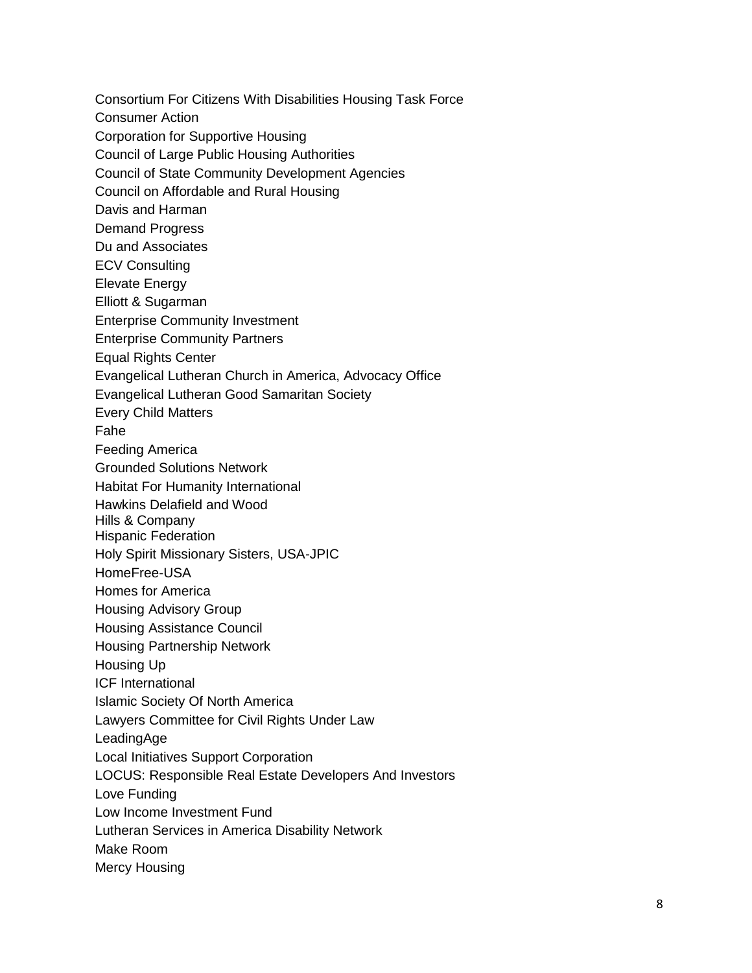Consortium For Citizens With Disabilities Housing Task Force Consumer Action Corporation for Supportive Housing Council of Large Public Housing Authorities Council of State Community Development Agencies Council on Affordable and Rural Housing Davis and Harman Demand Progress Du and Associates ECV Consulting Elevate Energy Elliott & Sugarman Enterprise Community Investment Enterprise Community Partners Equal Rights Center Evangelical Lutheran Church in America, Advocacy Office Evangelical Lutheran Good Samaritan Society Every Child Matters Fahe Feeding America Grounded Solutions Network Habitat For Humanity International Hawkins Delafield and Wood Hills & Company Hispanic Federation Holy Spirit Missionary Sisters, USA -JPIC HomeFree -USA Homes for America Housing Advisory Group Housing Assistance Council Housing Partnership Network Housing Up ICF International Islamic Society Of North America Lawyers Committee for Civil Rights Under Law LeadingAge Local Initiatives Support Corporation LOCUS: Responsible Real Estate Developers And Investors Love Funding Low Income Investment Fund Lutheran Services in America Disability Network Make Room Mercy Housing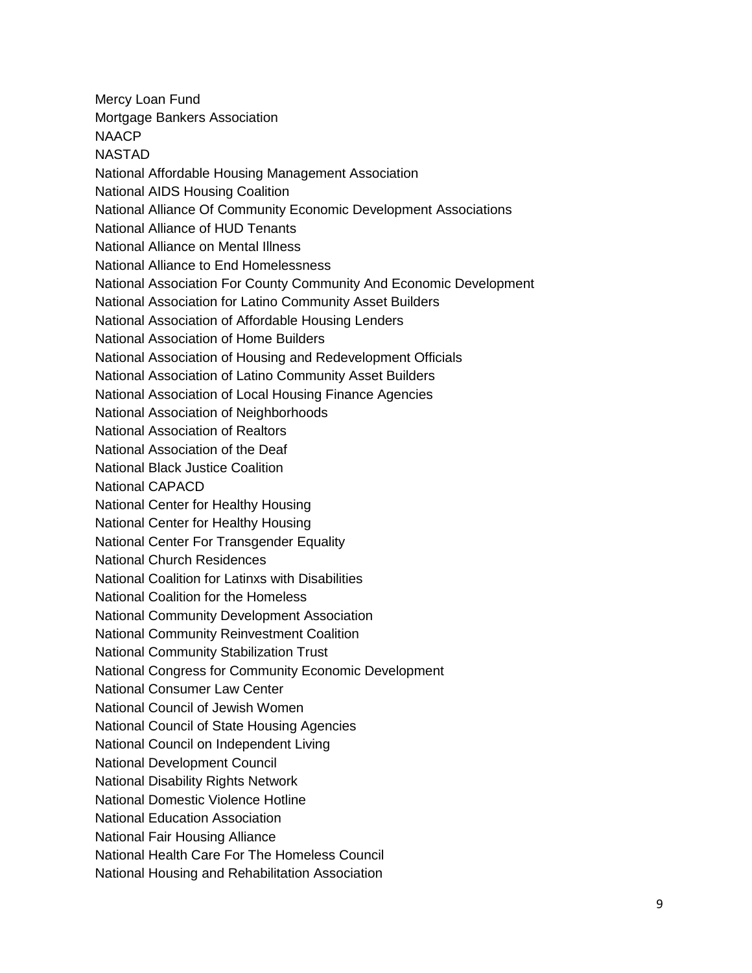Mercy Loan Fund Mortgage Bankers Association **NAACP** NASTAD National Affordable Housing Management Association National AIDS Housing Coalition National Alliance Of Community Economic Development Associations National Alliance of HUD Tenants National Alliance on Mental Illness National Alliance to End Homelessness National Association For County Community And Economic Development National Association for Latino Community Asset Builders National Association of Affordable Housing Lenders National Association of Home Builders National Association of Housing and Redevelopment Officials National Association of Latino Community Asset Builders National Association of Local Housing Finance Agencies National Association of Neighborhoods National Association of Realtors National Association of the Deaf National Black Justice Coalition National CAPACD National Center for Healthy Housing National Center for Healthy Housing National Center For Transgender Equality National Church Residences National Coalition for Latinxs with Disabilities National Coalition for the Homeless National Community Development Association National Community Reinvestment Coalition National Community Stabilization Trust National Congress for Community Economic Development National Consumer Law Center National Council of Jewish Women National Council of State Housing Agencies National Council on Independent Living National Development Council National Disability Rights Network National Domestic Violence Hotline National Education Association National Fair Housing Alliance National Health Care For The Homeless Council National Housing and Rehabilitation Association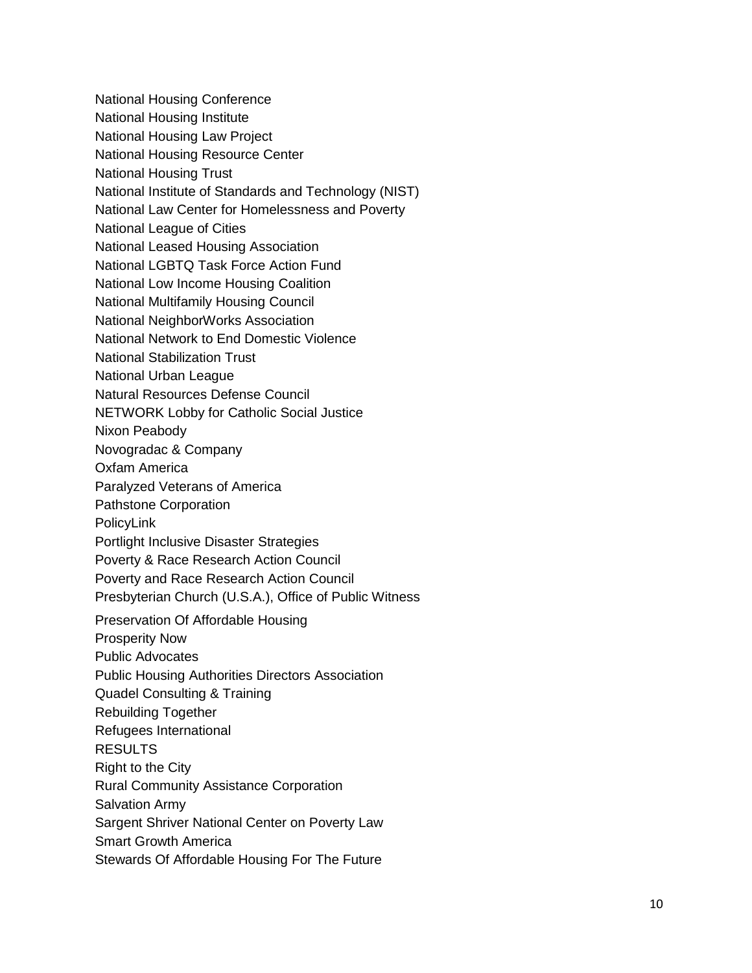- National Housing Conference
- National Housing Institute
- National Housing Law Project
- National Housing Resource Center
- National Housing Trust
- National Institute of Standards and Technology (NIST)
- National Law Center for Homelessness and Poverty
- National League of Cities
- National Leased Housing Association
- National LGBTQ Task Force Action Fund
- National Low Income Housing Coalition
- National Multifamily Housing Council
- National NeighborWorks Association
- National Network to End Domestic Violence
- National Stabilization Trust
- National Urban League
- Natural Resources Defense Council
- NETWORK Lobby for Catholic Social Justice
- Nixon Peabody
- Novogradac & Company
- Oxfam America
- Paralyzed Veterans of America
- Pathstone Corporation
- PolicyLink
- Portlight Inclusive Disaster Strategies
- Poverty & Race Research Action Council
- Poverty and Race Research Action Council
- Presbyterian Church (U.S.A.), Office of Public Witness
- Preservation Of Affordable Housing
- Prosperity Now
- Public Advocates
- Public Housing Authorities Directors Association
- Quadel Consulting & Training
- Rebuilding Together
- Refugees International
- RESULTS
- Right to the City
- Rural Community Assistance Corporation
- Salvation Army
- Sargent Shriver National Center on Poverty Law
- Smart Growth America
- Stewards Of Affordable Housing For The Future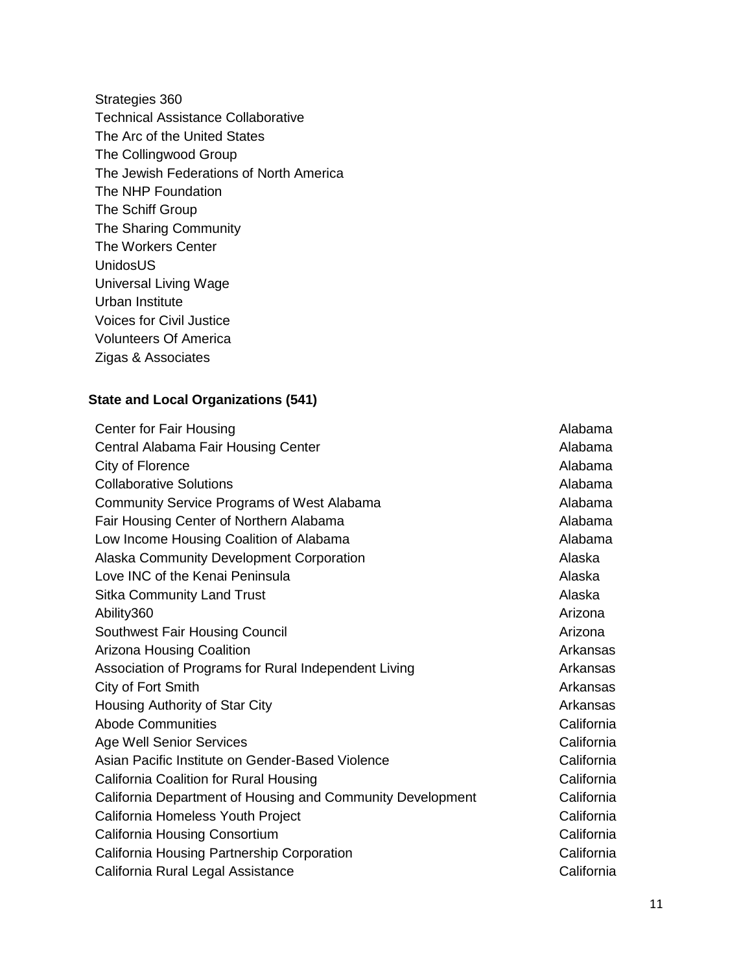Strategies 360 Technical Assistance Collaborative The Arc of the United States The Collingwood Group The Jewish Federations of North America The NHP Foundation The Schiff Group The Sharing Community The Workers Center UnidosUS Universal Living Wage Urban Institute Voices for Civil Justice Volunteers Of America Zigas & Associates

#### **State and Local Organizations (541)**

**Center for Fair Housing Alabama** Alabama Alabama Alabama Alabama Alabama Alabama Alabama Alabama Alabama Alabama Alabama Alabama Alabama Alabama Alabama Alabama Alabama Alabama Alabama Alabama Alabama Alabama Alabama Alab Central Alabama Fair Housing Center Alabama **Alabama** City of Florence Alabama **Collaborative Solutions Alabama** Alabama **Alabama** Alabama **Alabama** Community Service Programs of West Alabama **Alabama** Alabama Fair Housing Center of Northern Alabama **Alabama** Alabama Low Income Housing Coalition of Alabama Alabama Alabama Alaska Community Development Corporation **Alaska** Alaska Love INC of the Kenai Peninsula **Alaska** Alaska Sitka Community Land Trust Alaska Alaska Alaska Alaska Alaska Alaska Alaska Alaska Alaska Alaska Alaska Alaska Ability360 Arizona American American Arizona Arizona Arizona Arizona Arizona Arizona A Southwest Fair Housing Council Arizona and Arizona and Arizona and Arizona and Arizona Arizona Housing Coalition Arkansas Arkansas Arkansas Arkansas Arkansas Arkansas Arkansas Arkansas Arkansas Arkansas Arkansas Arkansas Arkansas Arkansas Arkansas Arkansas Arkansas Arkansas Arkansas Arkansas Arkansas Arkansa Association of Programs for Rural Independent Living Number 2012 Arkansas City of Fort Smith Arkansas Housing Authority of Star City Arkansas Arkansas Abode Communities **California** California Age Well Senior Services California Asian Pacific Institute on Gender-Based Violence **California** California California Coalition for Rural Housing California California California Department of Housing and Community Development California California Homeless Youth Project California California Housing Consortium California California Housing Partnership Corporation California [California Rural Legal Assistance](http://www.crla.org/) **California** California

11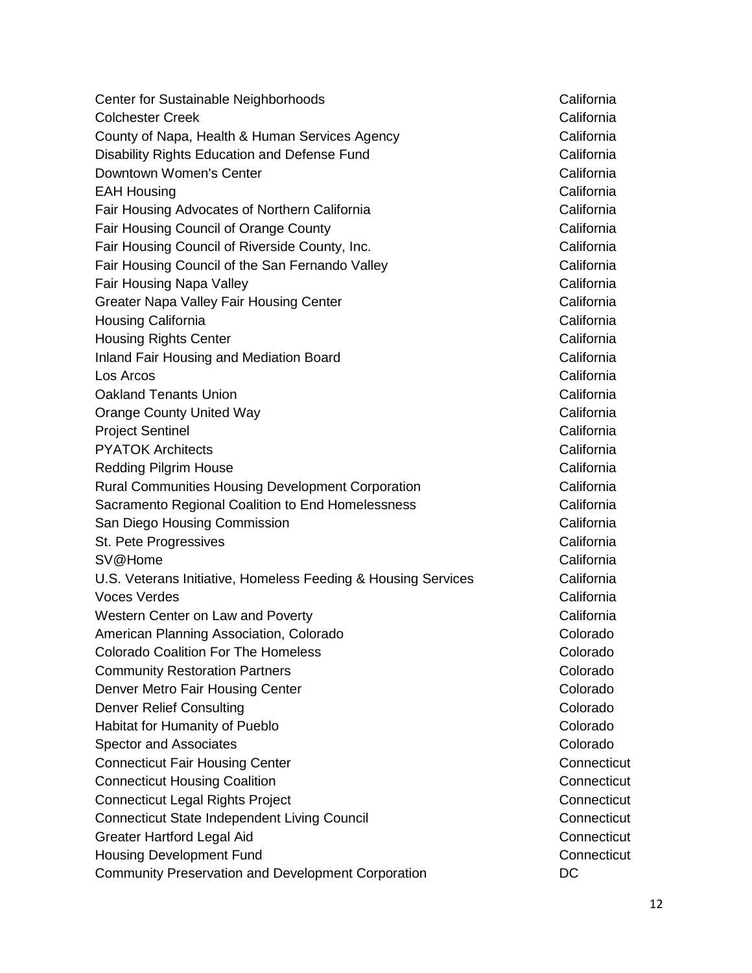Center for Sustainable Neighborhoods California Colchester Creek **California** County of Napa, Health & Human Services Agency California Disability Rights Education and Defense Fund California Downtown Women's Center California California EAH Housing California Fair Housing Advocates of Northern California California Fair Housing Council of Orange County **California** California Fair Housing Council of Riverside County, Inc. **California** California Fair Housing Council of the San Fernando Valley California California Fair Housing Napa Valley **California** Greater Napa Valley Fair Housing Center California California Housing California California Housing Rights Center California California Inland Fair Housing and Mediation Board **California** Los Arcos California Oakland Tenants Union California Orange County United Way **California** California Project Sentinel **California** California PYATOK Architects California Redding Pilgrim House **California** California Rural Communities Housing Development Corporation **California** Sacramento Regional Coalition to End Homelessness Theorem California San Diego Housing Commission California St. Pete Progressives **California** California SV@Home California U.S. Veterans Initiative, Homeless Feeding & Housing Services California Voces Verdes California Western Center on Law and Poverty **California** California American Planning Association, Colorado **Colorado** Colorado Colorado Coalition For The Homeless Colorado **Community Restoration Partners Colorado** Colorado Colorado Denver Metro Fair Housing Center Colorado **Colorado** Denver Relief Consulting Colorado Colorado Colorado Colorado Colorado Colorado Colorado Colorado Colorado Colorado Habitat for Humanity of Pueblo Colorado Colorado Colorado Spector and Associates **Colorado** Colorado **Colorado** Colorado **Colorado** Colorado **Colorado** Colorado Colorado Colorado Colorado Colorado Colorado Colorado Colorado Colorado Colorado Colorado Colorado Colorado Colorado Co Connecticut Fair Housing Center Connecticut Connecticut Housing Coalition Connecticut Connecticut Legal Rights Project Connecticut Connecticut State Independent Living Council Connecticut Greater Hartford Legal Aid Connecticut Housing Development Fund Connecticut Community Preservation and Development Corporation DC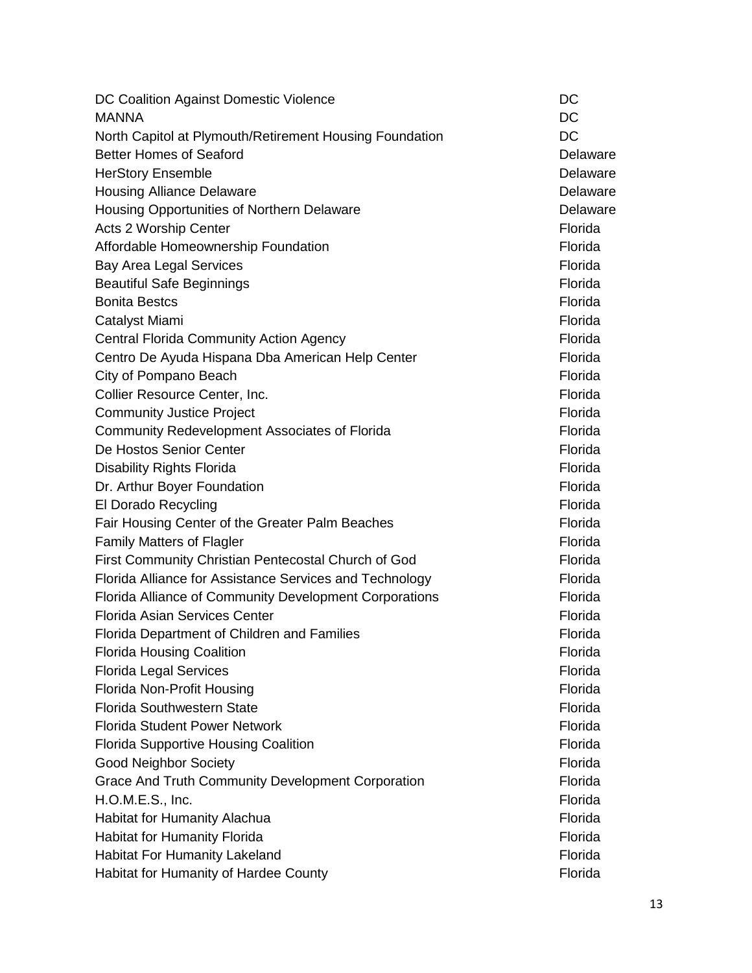| DC Coalition Against Domestic Violence                   | DC       |
|----------------------------------------------------------|----------|
| <b>MANNA</b>                                             | DC       |
| North Capitol at Plymouth/Retirement Housing Foundation  | DC       |
| <b>Better Homes of Seaford</b>                           | Delaware |
| <b>HerStory Ensemble</b>                                 | Delaware |
| <b>Housing Alliance Delaware</b>                         | Delaware |
| Housing Opportunities of Northern Delaware               | Delaware |
| Acts 2 Worship Center                                    | Florida  |
| Affordable Homeownership Foundation                      | Florida  |
| <b>Bay Area Legal Services</b>                           | Florida  |
| <b>Beautiful Safe Beginnings</b>                         | Florida  |
| <b>Bonita Bestcs</b>                                     | Florida  |
| Catalyst Miami                                           | Florida  |
| <b>Central Florida Community Action Agency</b>           | Florida  |
| Centro De Ayuda Hispana Dba American Help Center         | Florida  |
| City of Pompano Beach                                    | Florida  |
| Collier Resource Center, Inc.                            | Florida  |
| <b>Community Justice Project</b>                         | Florida  |
| Community Redevelopment Associates of Florida            | Florida  |
| De Hostos Senior Center                                  | Florida  |
| <b>Disability Rights Florida</b>                         | Florida  |
| Dr. Arthur Boyer Foundation                              | Florida  |
| El Dorado Recycling                                      | Florida  |
| Fair Housing Center of the Greater Palm Beaches          | Florida  |
| <b>Family Matters of Flagler</b>                         | Florida  |
| First Community Christian Pentecostal Church of God      | Florida  |
| Florida Alliance for Assistance Services and Technology  | Florida  |
| Florida Alliance of Community Development Corporations   | Florida  |
| <b>Florida Asian Services Center</b>                     | Florida  |
| Florida Department of Children and Families              | Florida  |
| <b>Florida Housing Coalition</b>                         | Florida  |
| <b>Florida Legal Services</b>                            | Florida  |
| Florida Non-Profit Housing                               | Florida  |
| <b>Florida Southwestern State</b>                        | Florida  |
| <b>Florida Student Power Network</b>                     | Florida  |
| <b>Florida Supportive Housing Coalition</b>              | Florida  |
| <b>Good Neighbor Society</b>                             | Florida  |
| <b>Grace And Truth Community Development Corporation</b> | Florida  |
| H.O.M.E.S., Inc.                                         | Florida  |
| <b>Habitat for Humanity Alachua</b>                      | Florida  |
| <b>Habitat for Humanity Florida</b>                      | Florida  |
| <b>Habitat For Humanity Lakeland</b>                     | Florida  |
| Habitat for Humanity of Hardee County                    | Florida  |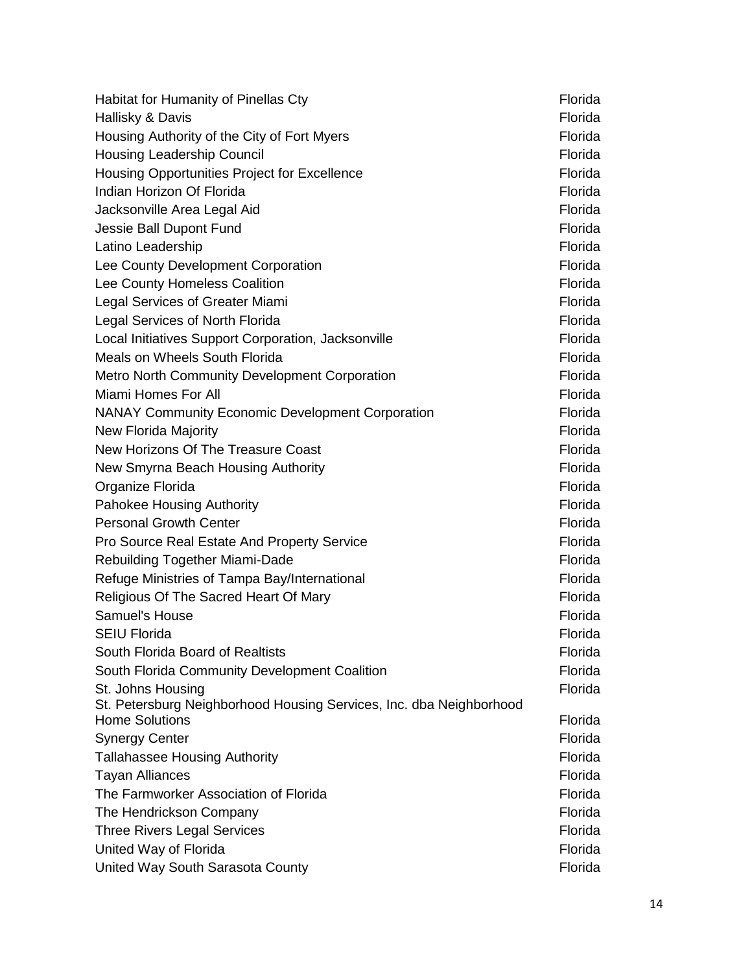| Habitat for Humanity of Pinellas Cty                                | Florida            |
|---------------------------------------------------------------------|--------------------|
| Hallisky & Davis                                                    | Florida            |
| Housing Authority of the City of Fort Myers                         | Florida            |
| Housing Leadership Council                                          | Florida            |
| Housing Opportunities Project for Excellence                        | Florida            |
| Indian Horizon Of Florida                                           | Florida            |
| Jacksonville Area Legal Aid                                         | Florida            |
| Jessie Ball Dupont Fund                                             | Florida            |
| Latino Leadership                                                   | Florida            |
| Lee County Development Corporation                                  | Florida            |
| Lee County Homeless Coalition                                       | Florida            |
| Legal Services of Greater Miami                                     | Florida            |
| <b>Legal Services of North Florida</b>                              | Florida            |
| Local Initiatives Support Corporation, Jacksonville                 | Florida            |
| Meals on Wheels South Florida                                       | Florida            |
| <b>Metro North Community Development Corporation</b>                | Florida            |
| Miami Homes For All                                                 | Florida            |
| <b>NANAY Community Economic Development Corporation</b>             | Florida            |
| New Florida Majority                                                | Florida            |
| New Horizons Of The Treasure Coast                                  | Florida            |
| New Smyrna Beach Housing Authority                                  | Florida            |
| Organize Florida                                                    | Florida            |
| Pahokee Housing Authority                                           | Florida            |
| <b>Personal Growth Center</b>                                       | Florida            |
| Pro Source Real Estate And Property Service                         | Florida            |
| Rebuilding Together Miami-Dade                                      | Florida            |
| Refuge Ministries of Tampa Bay/International                        | Florida            |
| Religious Of The Sacred Heart Of Mary                               | Florida            |
| Samuel's House                                                      | Florida            |
| <b>SEIU Florida</b>                                                 | Florida            |
| South Florida Board of Realtists                                    | Florida            |
| South Florida Community Development Coalition                       | Florida            |
| St. Johns Housing                                                   | Florida            |
| St. Petersburg Neighborhood Housing Services, Inc. dba Neighborhood |                    |
| <b>Home Solutions</b>                                               | Florida            |
| <b>Synergy Center</b>                                               | Florida            |
| <b>Tallahassee Housing Authority</b>                                | Florida            |
| <b>Tayan Alliances</b>                                              | Florida            |
| The Farmworker Association of Florida                               | Florida            |
| The Hendrickson Company                                             | Florida            |
| <b>Three Rivers Legal Services</b>                                  | Florida            |
| United Way of Florida                                               | Florida<br>Florida |
| United Way South Sarasota County                                    |                    |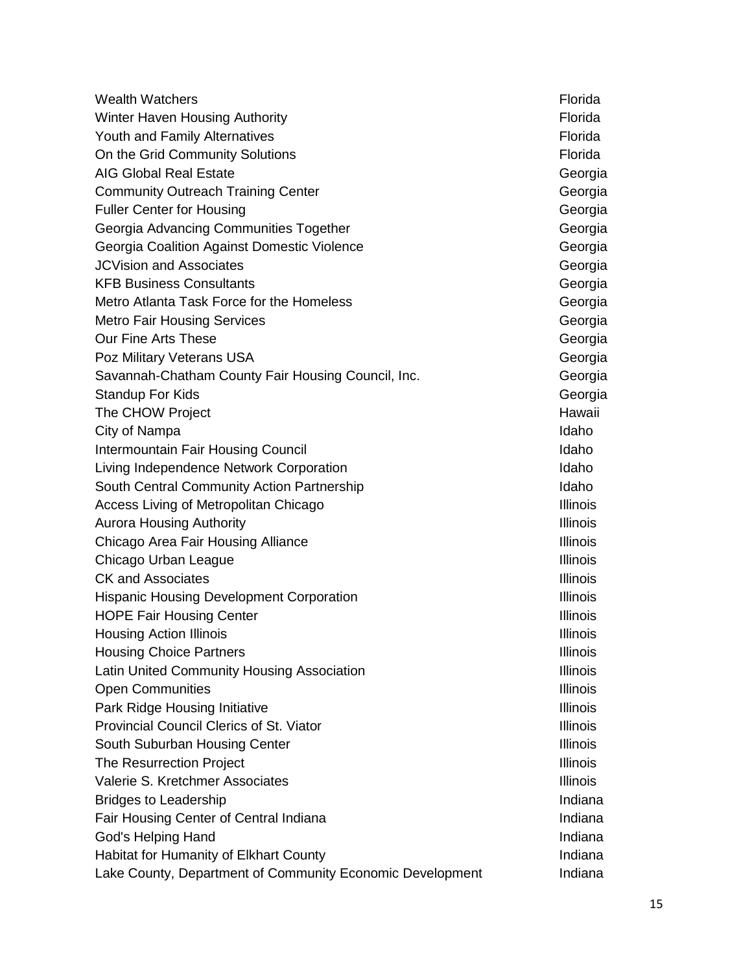| <b>Wealth Watchers</b>                                    | Florida         |
|-----------------------------------------------------------|-----------------|
| Winter Haven Housing Authority                            | Florida         |
| Youth and Family Alternatives                             | Florida         |
| On the Grid Community Solutions                           | Florida         |
| <b>AIG Global Real Estate</b>                             | Georgia         |
| <b>Community Outreach Training Center</b>                 | Georgia         |
| <b>Fuller Center for Housing</b>                          | Georgia         |
| Georgia Advancing Communities Together                    | Georgia         |
| Georgia Coalition Against Domestic Violence               | Georgia         |
| <b>JCVision and Associates</b>                            | Georgia         |
| <b>KFB Business Consultants</b>                           | Georgia         |
| Metro Atlanta Task Force for the Homeless                 | Georgia         |
| <b>Metro Fair Housing Services</b>                        | Georgia         |
| <b>Our Fine Arts These</b>                                | Georgia         |
| Poz Military Veterans USA                                 | Georgia         |
| Savannah-Chatham County Fair Housing Council, Inc.        | Georgia         |
| <b>Standup For Kids</b>                                   | Georgia         |
| The CHOW Project                                          | Hawaii          |
| City of Nampa                                             | Idaho           |
| Intermountain Fair Housing Council                        | Idaho           |
| Living Independence Network Corporation                   | Idaho           |
| South Central Community Action Partnership                | Idaho           |
| Access Living of Metropolitan Chicago                     | <b>Illinois</b> |
| <b>Aurora Housing Authority</b>                           | <b>Illinois</b> |
| Chicago Area Fair Housing Alliance                        | <b>Illinois</b> |
| Chicago Urban League                                      | <b>Illinois</b> |
| <b>CK and Associates</b>                                  | <b>Illinois</b> |
| <b>Hispanic Housing Development Corporation</b>           | <b>Illinois</b> |
| <b>HOPE Fair Housing Center</b>                           | <b>Illinois</b> |
| <b>Housing Action Illinois</b>                            | Illinois        |
| <b>Housing Choice Partners</b>                            | <b>Illinois</b> |
| Latin United Community Housing Association                | <b>Illinois</b> |
| <b>Open Communities</b>                                   | <b>Illinois</b> |
| Park Ridge Housing Initiative                             | <b>Illinois</b> |
| Provincial Council Clerics of St. Viator                  | <b>Illinois</b> |
| South Suburban Housing Center                             | <b>Illinois</b> |
| <b>The Resurrection Project</b>                           | <b>Illinois</b> |
| Valerie S. Kretchmer Associates                           | <b>Illinois</b> |
| <b>Bridges to Leadership</b>                              | Indiana         |
| Fair Housing Center of Central Indiana                    | Indiana         |
| God's Helping Hand                                        | Indiana         |
| Habitat for Humanity of Elkhart County                    | Indiana         |
| Lake County, Department of Community Economic Development | Indiana         |
|                                                           |                 |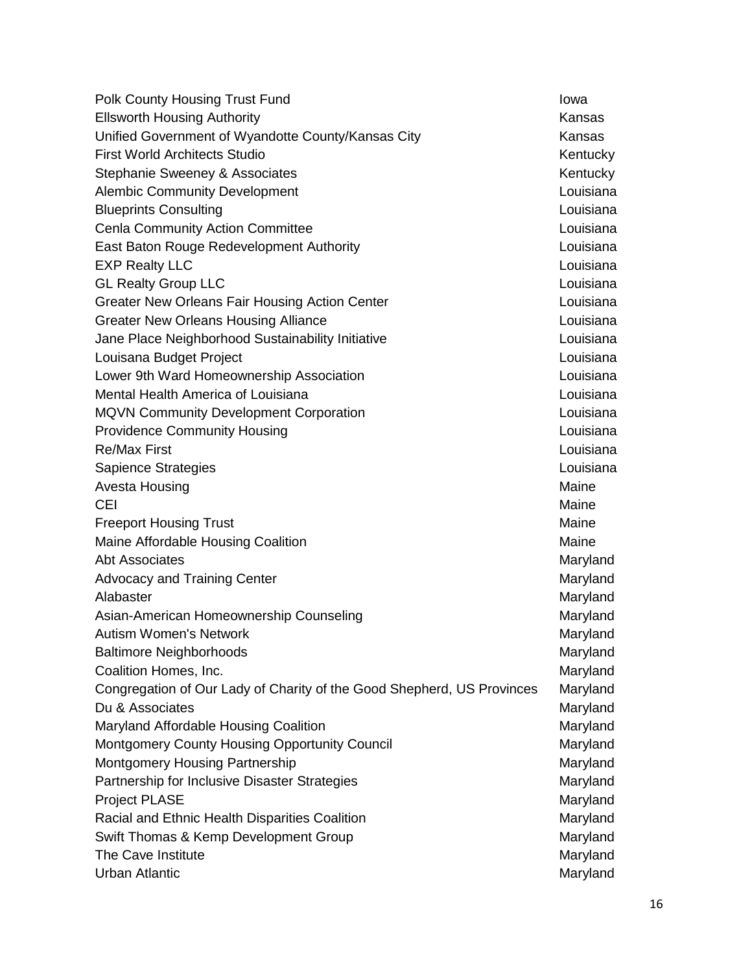| Polk County Housing Trust Fund                                         | Iowa      |
|------------------------------------------------------------------------|-----------|
| <b>Ellsworth Housing Authority</b>                                     | Kansas    |
| Unified Government of Wyandotte County/Kansas City                     | Kansas    |
| <b>First World Architects Studio</b>                                   | Kentucky  |
| Stephanie Sweeney & Associates                                         | Kentucky  |
| <b>Alembic Community Development</b>                                   | Louisiana |
| <b>Blueprints Consulting</b>                                           | Louisiana |
| <b>Cenla Community Action Committee</b>                                | Louisiana |
| East Baton Rouge Redevelopment Authority                               | Louisiana |
| <b>EXP Realty LLC</b>                                                  | Louisiana |
| <b>GL Realty Group LLC</b>                                             | Louisiana |
| <b>Greater New Orleans Fair Housing Action Center</b>                  | Louisiana |
| <b>Greater New Orleans Housing Alliance</b>                            | Louisiana |
| Jane Place Neighborhood Sustainability Initiative                      | Louisiana |
| Louisana Budget Project                                                | Louisiana |
| Lower 9th Ward Homeownership Association                               | Louisiana |
| Mental Health America of Louisiana                                     | Louisiana |
| MQVN Community Development Corporation                                 | Louisiana |
| <b>Providence Community Housing</b>                                    | Louisiana |
| <b>Re/Max First</b>                                                    | Louisiana |
| <b>Sapience Strategies</b>                                             | Louisiana |
| Avesta Housing                                                         | Maine     |
| <b>CEI</b>                                                             | Maine     |
| <b>Freeport Housing Trust</b>                                          | Maine     |
| Maine Affordable Housing Coalition                                     | Maine     |
| <b>Abt Associates</b>                                                  | Maryland  |
| <b>Advocacy and Training Center</b>                                    | Maryland  |
| Alabaster                                                              | Maryland  |
| Asian-American Homeownership Counseling                                | Maryland  |
| <b>Autism Women's Network</b>                                          | Maryland  |
| <b>Baltimore Neighborhoods</b>                                         | Maryland  |
| Coalition Homes, Inc.                                                  | Maryland  |
| Congregation of Our Lady of Charity of the Good Shepherd, US Provinces | Maryland  |
| Du & Associates                                                        | Maryland  |
| Maryland Affordable Housing Coalition                                  | Maryland  |
| Montgomery County Housing Opportunity Council                          | Maryland  |
| <b>Montgomery Housing Partnership</b>                                  | Maryland  |
| Partnership for Inclusive Disaster Strategies                          | Maryland  |
| <b>Project PLASE</b>                                                   | Maryland  |
| Racial and Ethnic Health Disparities Coalition                         | Maryland  |
| Swift Thomas & Kemp Development Group                                  | Maryland  |
| The Cave Institute                                                     | Maryland  |
| <b>Urban Atlantic</b>                                                  | Maryland  |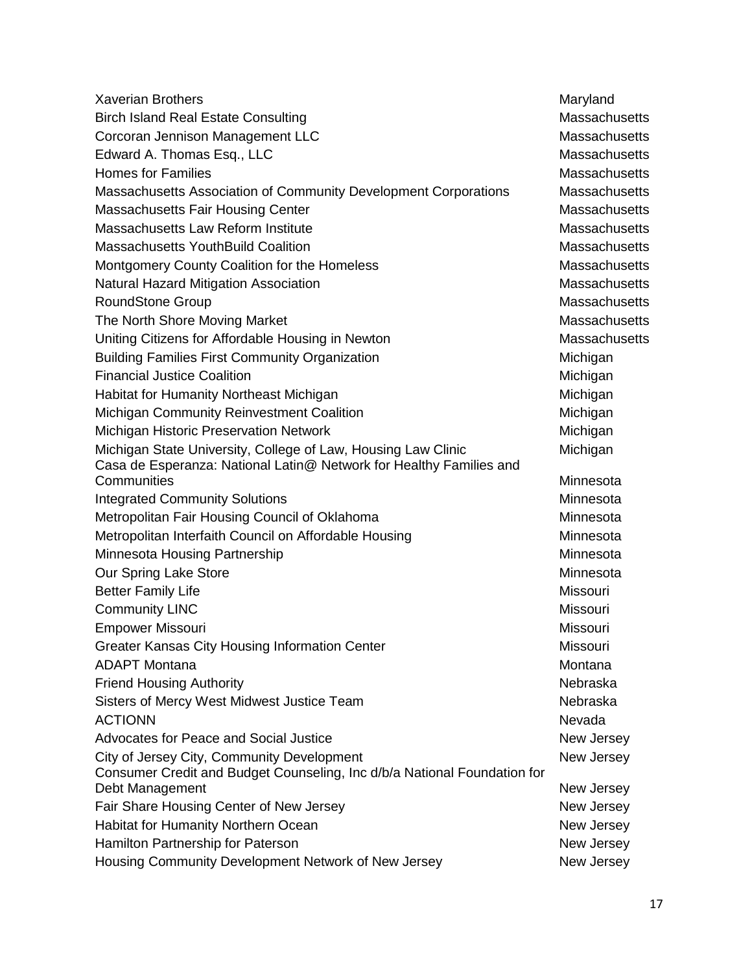| <b>Xaverian Brothers</b>                                                                                               | Maryland      |
|------------------------------------------------------------------------------------------------------------------------|---------------|
| <b>Birch Island Real Estate Consulting</b>                                                                             | Massachusetts |
| Corcoran Jennison Management LLC                                                                                       | Massachusetts |
| Edward A. Thomas Esq., LLC                                                                                             | Massachusetts |
| <b>Homes for Families</b>                                                                                              | Massachusetts |
| Massachusetts Association of Community Development Corporations                                                        | Massachusetts |
| <b>Massachusetts Fair Housing Center</b>                                                                               | Massachusetts |
| Massachusetts Law Reform Institute                                                                                     | Massachusetts |
| <b>Massachusetts YouthBuild Coalition</b>                                                                              | Massachusetts |
| Montgomery County Coalition for the Homeless                                                                           | Massachusetts |
| Natural Hazard Mitigation Association                                                                                  | Massachusetts |
| <b>RoundStone Group</b>                                                                                                | Massachusetts |
| The North Shore Moving Market                                                                                          | Massachusetts |
| Uniting Citizens for Affordable Housing in Newton                                                                      | Massachusetts |
| <b>Building Families First Community Organization</b>                                                                  | Michigan      |
| <b>Financial Justice Coalition</b>                                                                                     | Michigan      |
| Habitat for Humanity Northeast Michigan                                                                                | Michigan      |
| Michigan Community Reinvestment Coalition                                                                              | Michigan      |
| Michigan Historic Preservation Network                                                                                 | Michigan      |
| Michigan State University, College of Law, Housing Law Clinic                                                          | Michigan      |
| Casa de Esperanza: National Latin@ Network for Healthy Families and                                                    |               |
| Communities                                                                                                            | Minnesota     |
| <b>Integrated Community Solutions</b>                                                                                  | Minnesota     |
| Metropolitan Fair Housing Council of Oklahoma                                                                          | Minnesota     |
| Metropolitan Interfaith Council on Affordable Housing                                                                  | Minnesota     |
| Minnesota Housing Partnership                                                                                          | Minnesota     |
| Our Spring Lake Store                                                                                                  | Minnesota     |
| <b>Better Family Life</b>                                                                                              | Missouri      |
| <b>Community LINC</b>                                                                                                  | Missouri      |
| <b>Empower Missouri</b>                                                                                                | Missouri      |
| <b>Greater Kansas City Housing Information Center</b>                                                                  | Missouri      |
| <b>ADAPT Montana</b>                                                                                                   | Montana       |
| <b>Friend Housing Authority</b>                                                                                        | Nebraska      |
| Sisters of Mercy West Midwest Justice Team                                                                             | Nebraska      |
| <b>ACTIONN</b>                                                                                                         | Nevada        |
| <b>Advocates for Peace and Social Justice</b>                                                                          | New Jersey    |
| City of Jersey City, Community Development<br>Consumer Credit and Budget Counseling, Inc d/b/a National Foundation for | New Jersey    |
| Debt Management                                                                                                        | New Jersey    |
| Fair Share Housing Center of New Jersey                                                                                | New Jersey    |
| <b>Habitat for Humanity Northern Ocean</b>                                                                             | New Jersey    |
| Hamilton Partnership for Paterson                                                                                      | New Jersey    |
| Housing Community Development Network of New Jersey                                                                    | New Jersey    |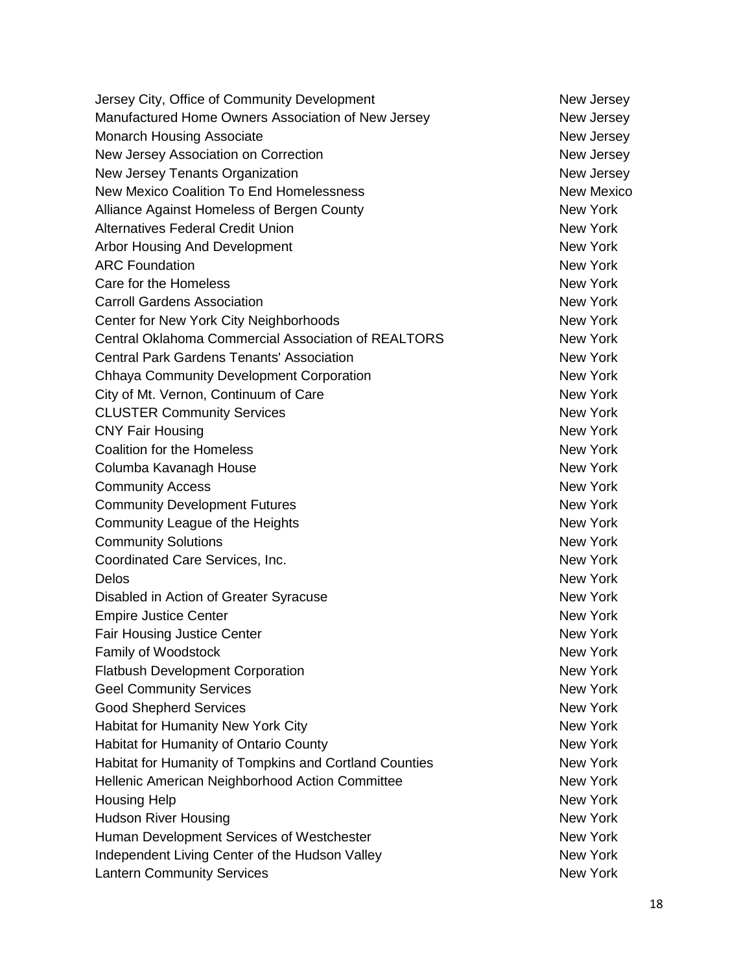Jersey City, Office of Community Development New Jersey New Jersey Manufactured Home Owners Association of New Jersey New Jersey Monarch Housing Associate New Jersey New Jersey New Jersey Association on Correction New Jersey New Jersey New Jersey Tenants Organization New Jersey New Jersey New Mexico Coalition To End Homelessness New Mexico Alliance Against Homeless of Bergen County New York Alternatives Federal Credit Union New York New York Arbor Housing And Development New York New York ARC Foundation **New York** 1999 **New York** 1999 **New York** Care for the Homeless **New York** New York **New York** Carroll Gardens Association New York New York Center for New York City Neighborhoods New York New York Central Oklahoma Commercial Association of REALTORS New York Central Park Gardens Tenants' Association New York Chhaya Community Development Corporation New York New York City of Mt. Vernon, Continuum of Care New York New York CLUSTER Community Services New York New York CNY Fair Housing New York New York New York New York New York Coalition for the Homeless New York New York New York Columba Kavanagh House New York New York Community Access New York Community Development Futures New York New York Community League of the Heights New York New York Community Solutions New York Coordinated Care Services, Inc. New York Delos New York Disabled in Action of Greater Syracuse New York Empire Justice Center New York Fair Housing Justice Center New York New York Family of Woodstock **New York** New York **New York** New York Flatbush Development Corporation New York Geel Community Services **New York** New York Good Shepherd Services New York New York New York Habitat for Humanity New York City New York City New York Habitat for Humanity of Ontario County New York New York Habitat for Humanity of Tompkins and Cortland Counties New York Hellenic American Neighborhood Action Committee New York Housing Help New York and the United States of the United States of the New York and the New York and the New York Hudson River Housing New York New York New York New York Human Development Services of Westchester New York New York Independent Living Center of the Hudson Valley New York New York Lantern Community Services New York New York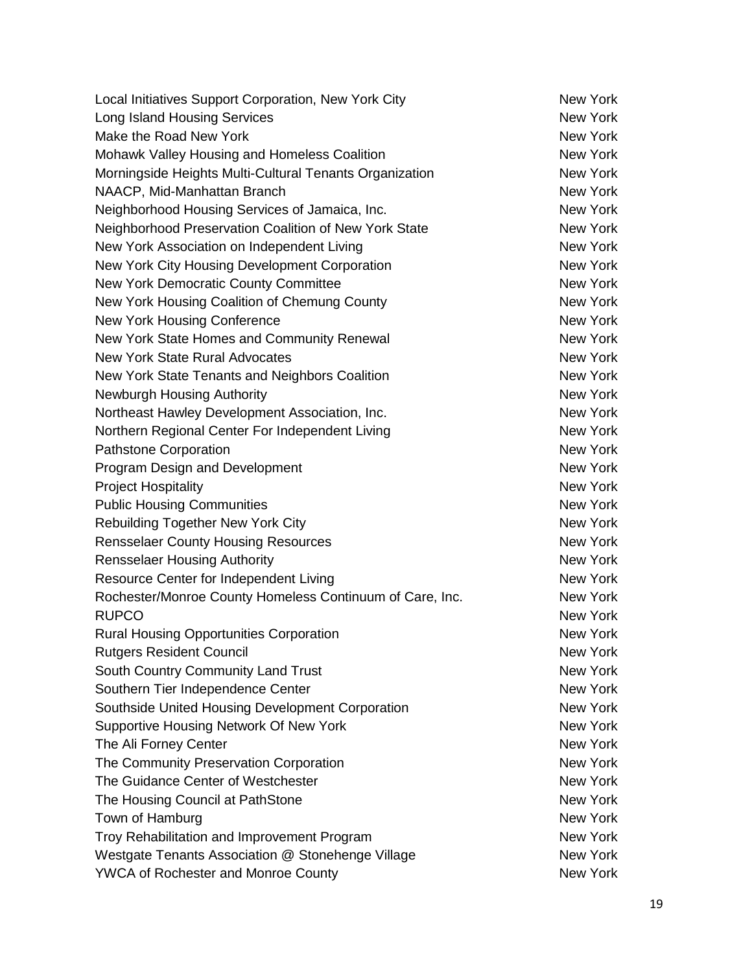| Local Initiatives Support Corporation, New York City     | New York        |
|----------------------------------------------------------|-----------------|
| <b>Long Island Housing Services</b>                      | <b>New York</b> |
| Make the Road New York                                   | New York        |
| Mohawk Valley Housing and Homeless Coalition             | <b>New York</b> |
| Morningside Heights Multi-Cultural Tenants Organization  | <b>New York</b> |
| NAACP, Mid-Manhattan Branch                              | <b>New York</b> |
| Neighborhood Housing Services of Jamaica, Inc.           | New York        |
| Neighborhood Preservation Coalition of New York State    | <b>New York</b> |
| New York Association on Independent Living               | <b>New York</b> |
| New York City Housing Development Corporation            | <b>New York</b> |
| New York Democratic County Committee                     | <b>New York</b> |
| New York Housing Coalition of Chemung County             | <b>New York</b> |
| New York Housing Conference                              | <b>New York</b> |
| New York State Homes and Community Renewal               | <b>New York</b> |
| New York State Rural Advocates                           | <b>New York</b> |
| New York State Tenants and Neighbors Coalition           | <b>New York</b> |
| Newburgh Housing Authority                               | <b>New York</b> |
| Northeast Hawley Development Association, Inc.           | <b>New York</b> |
| Northern Regional Center For Independent Living          | <b>New York</b> |
| <b>Pathstone Corporation</b>                             | <b>New York</b> |
| Program Design and Development                           | <b>New York</b> |
| <b>Project Hospitality</b>                               | <b>New York</b> |
| <b>Public Housing Communities</b>                        | <b>New York</b> |
| <b>Rebuilding Together New York City</b>                 | <b>New York</b> |
| <b>Rensselaer County Housing Resources</b>               | <b>New York</b> |
| <b>Rensselaer Housing Authority</b>                      | <b>New York</b> |
| Resource Center for Independent Living                   | New York        |
| Rochester/Monroe County Homeless Continuum of Care, Inc. | New York        |
| <b>RUPCO</b>                                             | <b>New York</b> |
| <b>Rural Housing Opportunities Corporation</b>           | <b>New York</b> |
| <b>Rutgers Resident Council</b>                          | New York        |
| South Country Community Land Trust                       | New York        |
| Southern Tier Independence Center                        | New York        |
| Southside United Housing Development Corporation         | New York        |
| Supportive Housing Network Of New York                   | New York        |
| The Ali Forney Center                                    | <b>New York</b> |
| The Community Preservation Corporation                   | New York        |
| The Guidance Center of Westchester                       | New York        |
| The Housing Council at PathStone                         | New York        |
| Town of Hamburg                                          | <b>New York</b> |
| Troy Rehabilitation and Improvement Program              | New York        |
| Westgate Tenants Association @ Stonehenge Village        | New York        |
| <b>YWCA of Rochester and Monroe County</b>               | New York        |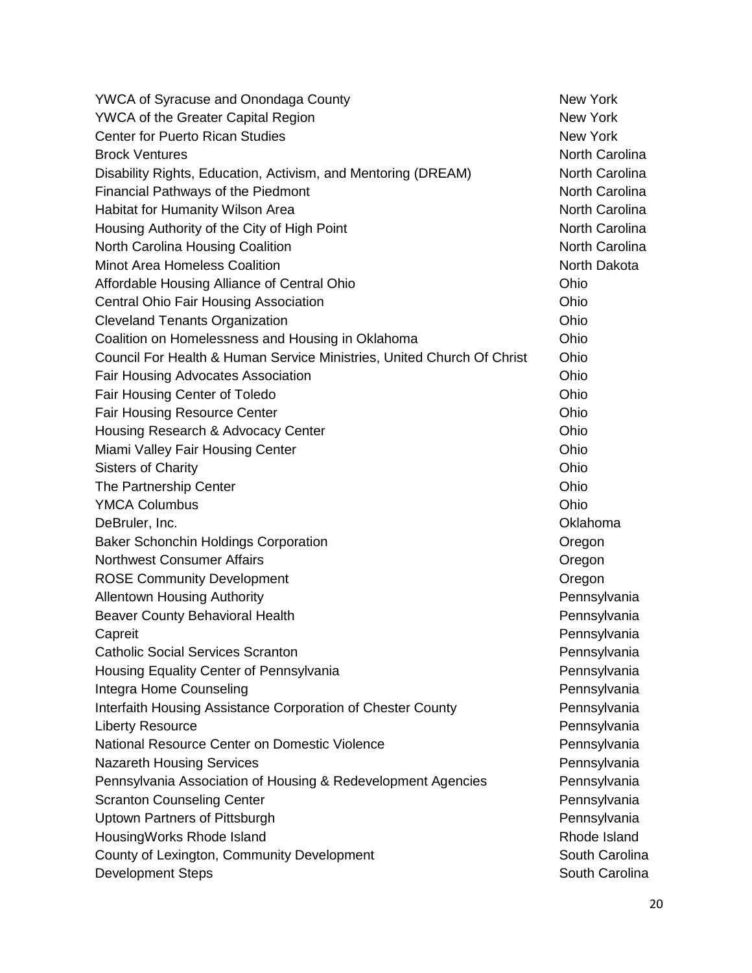| <b>YWCA of Syracuse and Onondaga County</b>                            | New York              |
|------------------------------------------------------------------------|-----------------------|
| <b>YWCA of the Greater Capital Region</b>                              | <b>New York</b>       |
| <b>Center for Puerto Rican Studies</b>                                 | <b>New York</b>       |
| <b>Brock Ventures</b>                                                  | North Carolina        |
| Disability Rights, Education, Activism, and Mentoring (DREAM)          | <b>North Carolina</b> |
| Financial Pathways of the Piedmont                                     | <b>North Carolina</b> |
| Habitat for Humanity Wilson Area                                       | North Carolina        |
| Housing Authority of the City of High Point                            | North Carolina        |
| North Carolina Housing Coalition                                       | <b>North Carolina</b> |
| <b>Minot Area Homeless Coalition</b>                                   | North Dakota          |
| Affordable Housing Alliance of Central Ohio                            | Ohio                  |
| Central Ohio Fair Housing Association                                  | Ohio                  |
| <b>Cleveland Tenants Organization</b>                                  | Ohio                  |
| Coalition on Homelessness and Housing in Oklahoma                      | Ohio                  |
| Council For Health & Human Service Ministries, United Church Of Christ | Ohio                  |
| <b>Fair Housing Advocates Association</b>                              | Ohio                  |
| Fair Housing Center of Toledo                                          | Ohio                  |
| <b>Fair Housing Resource Center</b>                                    | Ohio                  |
| Housing Research & Advocacy Center                                     | Ohio                  |
| Miami Valley Fair Housing Center                                       | Ohio                  |
| <b>Sisters of Charity</b>                                              | Ohio                  |
| The Partnership Center                                                 | Ohio                  |
| <b>YMCA Columbus</b>                                                   | Ohio                  |
| DeBruler, Inc.                                                         | Oklahoma              |
| <b>Baker Schonchin Holdings Corporation</b>                            | Oregon                |
| <b>Northwest Consumer Affairs</b>                                      | Oregon                |
| <b>ROSE Community Development</b>                                      | Oregon                |
| <b>Allentown Housing Authority</b>                                     | Pennsylvania          |
| <b>Beaver County Behavioral Health</b>                                 | Pennsylvania          |
| Capreit                                                                | Pennsylvania          |
| <b>Catholic Social Services Scranton</b>                               | Pennsylvania          |
| Housing Equality Center of Pennsylvania                                | Pennsylvania          |
| Integra Home Counseling                                                | Pennsylvania          |
| Interfaith Housing Assistance Corporation of Chester County            | Pennsylvania          |
| <b>Liberty Resource</b>                                                | Pennsylvania          |
| National Resource Center on Domestic Violence                          | Pennsylvania          |
| <b>Nazareth Housing Services</b>                                       | Pennsylvania          |
| Pennsylvania Association of Housing & Redevelopment Agencies           | Pennsylvania          |
| <b>Scranton Counseling Center</b>                                      | Pennsylvania          |
| Uptown Partners of Pittsburgh                                          | Pennsylvania          |
| HousingWorks Rhode Island                                              | Rhode Island          |
| County of Lexington, Community Development                             | South Carolina        |
| <b>Development Steps</b>                                               | South Carolina        |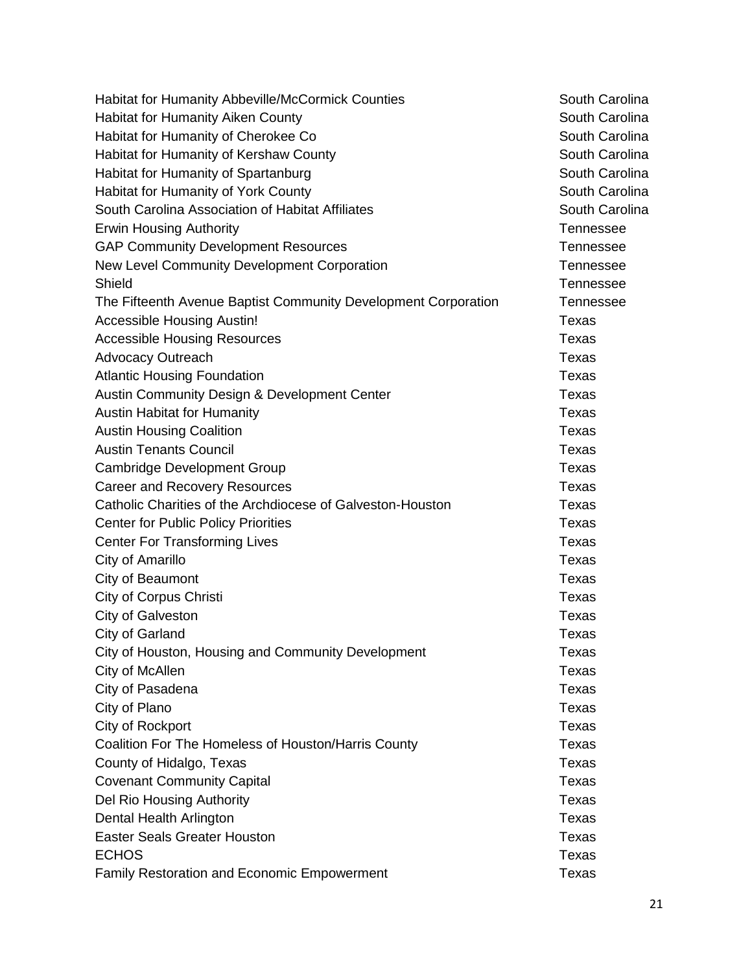| Habitat for Humanity Abbeville/McCormick Counties              | South Carolina   |
|----------------------------------------------------------------|------------------|
| <b>Habitat for Humanity Aiken County</b>                       | South Carolina   |
| Habitat for Humanity of Cherokee Co                            | South Carolina   |
| Habitat for Humanity of Kershaw County                         | South Carolina   |
| Habitat for Humanity of Spartanburg                            | South Carolina   |
| Habitat for Humanity of York County                            | South Carolina   |
| South Carolina Association of Habitat Affiliates               | South Carolina   |
| <b>Erwin Housing Authority</b>                                 | <b>Tennessee</b> |
| <b>GAP Community Development Resources</b>                     | <b>Tennessee</b> |
| New Level Community Development Corporation                    | <b>Tennessee</b> |
| Shield                                                         | <b>Tennessee</b> |
| The Fifteenth Avenue Baptist Community Development Corporation | <b>Tennessee</b> |
| <b>Accessible Housing Austin!</b>                              | <b>Texas</b>     |
| <b>Accessible Housing Resources</b>                            | <b>Texas</b>     |
| <b>Advocacy Outreach</b>                                       | <b>Texas</b>     |
| <b>Atlantic Housing Foundation</b>                             | <b>Texas</b>     |
| Austin Community Design & Development Center                   | <b>Texas</b>     |
| <b>Austin Habitat for Humanity</b>                             | <b>Texas</b>     |
| <b>Austin Housing Coalition</b>                                | <b>Texas</b>     |
| <b>Austin Tenants Council</b>                                  | <b>Texas</b>     |
| <b>Cambridge Development Group</b>                             | <b>Texas</b>     |
| <b>Career and Recovery Resources</b>                           | Texas            |
| Catholic Charities of the Archdiocese of Galveston-Houston     | Texas            |
| <b>Center for Public Policy Priorities</b>                     | <b>Texas</b>     |
| <b>Center For Transforming Lives</b>                           | <b>Texas</b>     |
| City of Amarillo                                               | <b>Texas</b>     |
| City of Beaumont                                               | Texas            |
| <b>City of Corpus Christi</b>                                  | <b>Texas</b>     |
| City of Galveston                                              | <b>Texas</b>     |
| City of Garland                                                | <b>Texas</b>     |
| City of Houston, Housing and Community Development             | Texas            |
| City of McAllen                                                | <b>Texas</b>     |
| City of Pasadena                                               | <b>Texas</b>     |
| City of Plano                                                  | <b>Texas</b>     |
| City of Rockport                                               | <b>Texas</b>     |
| Coalition For The Homeless of Houston/Harris County            | <b>Texas</b>     |
| County of Hidalgo, Texas                                       | <b>Texas</b>     |
| <b>Covenant Community Capital</b>                              | <b>Texas</b>     |
| Del Rio Housing Authority                                      | <b>Texas</b>     |
| Dental Health Arlington                                        | <b>Texas</b>     |
| <b>Easter Seals Greater Houston</b>                            | <b>Texas</b>     |
| <b>ECHOS</b>                                                   | <b>Texas</b>     |
| Family Restoration and Economic Empowerment                    | <b>Texas</b>     |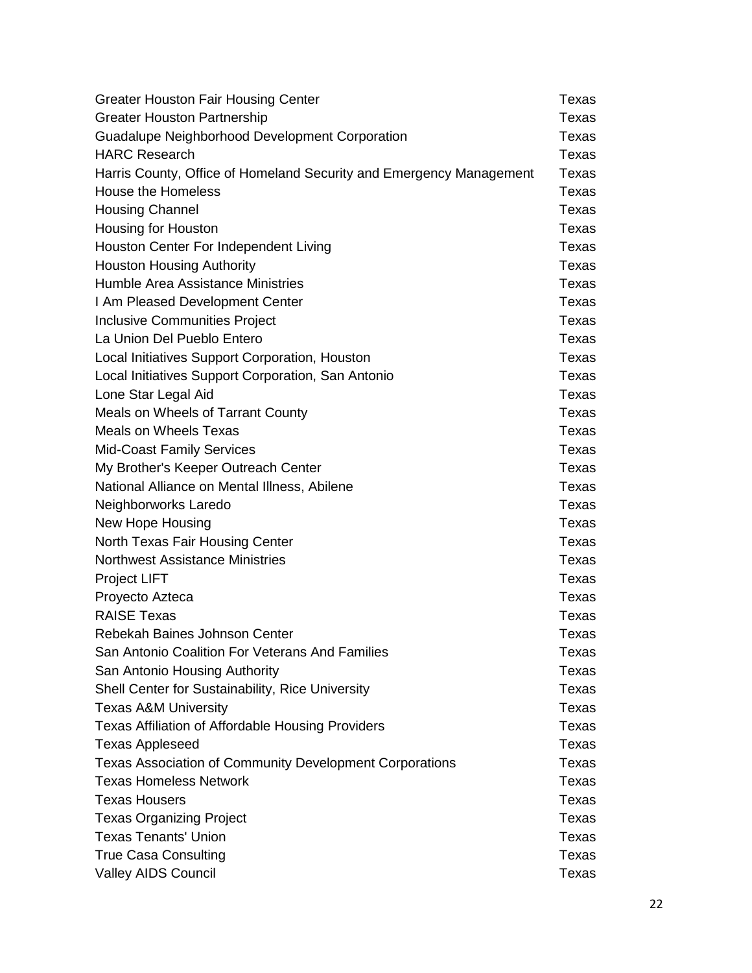| <b>Greater Houston Fair Housing Center</b>                          | Texas |
|---------------------------------------------------------------------|-------|
| <b>Greater Houston Partnership</b>                                  | Texas |
| <b>Guadalupe Neighborhood Development Corporation</b>               | Texas |
| <b>HARC Research</b>                                                | Texas |
| Harris County, Office of Homeland Security and Emergency Management | Texas |
| <b>House the Homeless</b>                                           | Texas |
| <b>Housing Channel</b>                                              | Texas |
| Housing for Houston                                                 | Texas |
| Houston Center For Independent Living                               | Texas |
| <b>Houston Housing Authority</b>                                    | Texas |
| Humble Area Assistance Ministries                                   | Texas |
| I Am Pleased Development Center                                     | Texas |
| <b>Inclusive Communities Project</b>                                | Texas |
| La Union Del Pueblo Entero                                          | Texas |
| Local Initiatives Support Corporation, Houston                      | Texas |
| Local Initiatives Support Corporation, San Antonio                  | Texas |
| Lone Star Legal Aid                                                 | Texas |
| Meals on Wheels of Tarrant County                                   | Texas |
| <b>Meals on Wheels Texas</b>                                        | Texas |
| <b>Mid-Coast Family Services</b>                                    | Texas |
| My Brother's Keeper Outreach Center                                 | Texas |
| National Alliance on Mental Illness, Abilene                        | Texas |
| Neighborworks Laredo                                                | Texas |
| New Hope Housing                                                    | Texas |
| North Texas Fair Housing Center                                     | Texas |
| <b>Northwest Assistance Ministries</b>                              | Texas |
| Project LIFT                                                        | Texas |
| Proyecto Azteca                                                     | Texas |
| <b>RAISE Texas</b>                                                  | Texas |
| Rebekah Baines Johnson Center                                       | Texas |
| San Antonio Coalition For Veterans And Families                     | Texas |
| San Antonio Housing Authority                                       | Texas |
| Shell Center for Sustainability, Rice University                    | Texas |
| <b>Texas A&amp;M University</b>                                     | Texas |
| Texas Affiliation of Affordable Housing Providers                   | Texas |
| <b>Texas Appleseed</b>                                              | Texas |
| <b>Texas Association of Community Development Corporations</b>      | Texas |
| <b>Texas Homeless Network</b>                                       | Texas |
| <b>Texas Housers</b>                                                | Texas |
| <b>Texas Organizing Project</b>                                     | Texas |
| <b>Texas Tenants' Union</b>                                         | Texas |
| <b>True Casa Consulting</b>                                         | Texas |
| <b>Valley AIDS Council</b>                                          | Texas |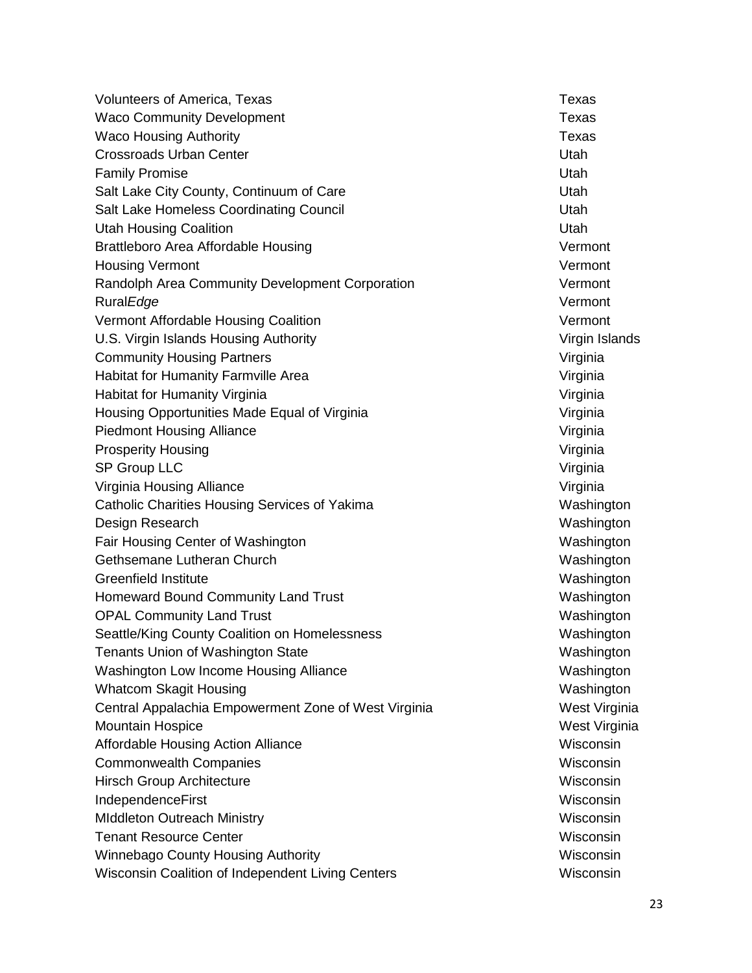Volunteers of America, Texas Texas Texas Texas Texas Texas Texas Waco Community Development National Community Development Waco Housing Authority **Texas** Crossroads Urban Center New York Crossroads Utah **Family Promise** Utah Salt Lake City County, Continuum of Care Care County, Continuum of Care Care Current Channel Channel District Salt Lake Homeless Coordinating Council **Example 2018** Utah Utah Housing Coalition Utah Brattleboro Area Affordable Housing Vermont Vermont Housing Vermont **Vermont** Randolph Area Community Development Corporation Vermont Rural*Edge* Vermont Vermont Affordable Housing Coalition Vermont Vermont Vermont U.S. Virgin Islands Housing Authority **Victor Contract Contract Contract Contract Contract Contract Contract Contract Contract Contract Contract Contract Contract Contract Contract Contract Contract Contract Contract Contr** Community Housing Partners **Victor** Community Housing Partners Habitat for Humanity Farmville Area Virginia Habitat for Humanity Virginia Virginia Virginia Virginia Virginia Housing Opportunities Made Equal of Virginia Virginia Piedmont Housing Alliance **Victor** Communication of Virginia Prosperity Housing **Virginia** Virginia SP Group LLC **SP Group LLC** Virginia Virginia Housing Alliance Virginia Catholic Charities Housing Services of Yakima Washington Washington Design Research Washington Fair Housing Center of Washington Washington Washington Gethsemane Lutheran Church Washington Washington Greenfield Institute **Washington** Washington Homeward Bound Community Land Trust Washington Washington OPAL Community Land Trust Washington Washington Seattle/King County Coalition on Homelessness Mashington Mashington Tenants Union of Washington State Washington Washington Low Income Housing Alliance **Washington** Washington Whatcom Skagit Housing Washington Whatcom Skagit Housing Washington Central Appalachia Empowerment Zone of West Virginia West Virginia Mountain Hospice **West Virginia** Affordable Housing Action Alliance **Wisconsin** Wisconsin **Commonwealth Companies Wisconsin** Wisconsin **Hirsch Group Architecture Wisconsin** Wisconsin IndependenceFirst Wisconsin MIddleton Outreach Ministry Wisconsin **Tenant Resource Center Wisconsin** Winnebago County Housing Authority Wisconsing Wisconsin Wisconsin Coalition of Independent Living Centers Wisconsin Wisconsin